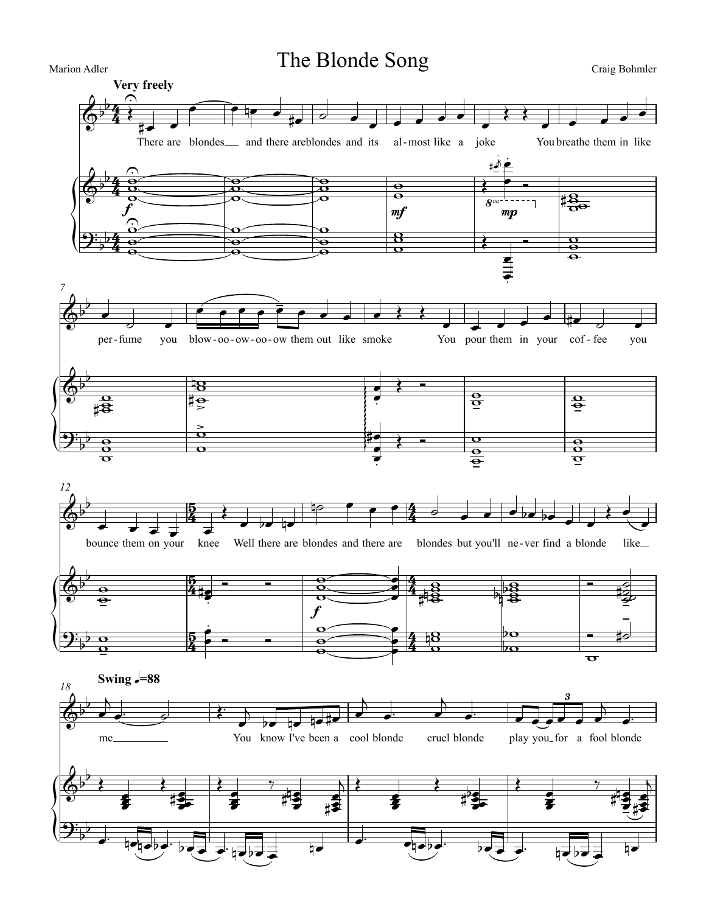

Craig Bohmler

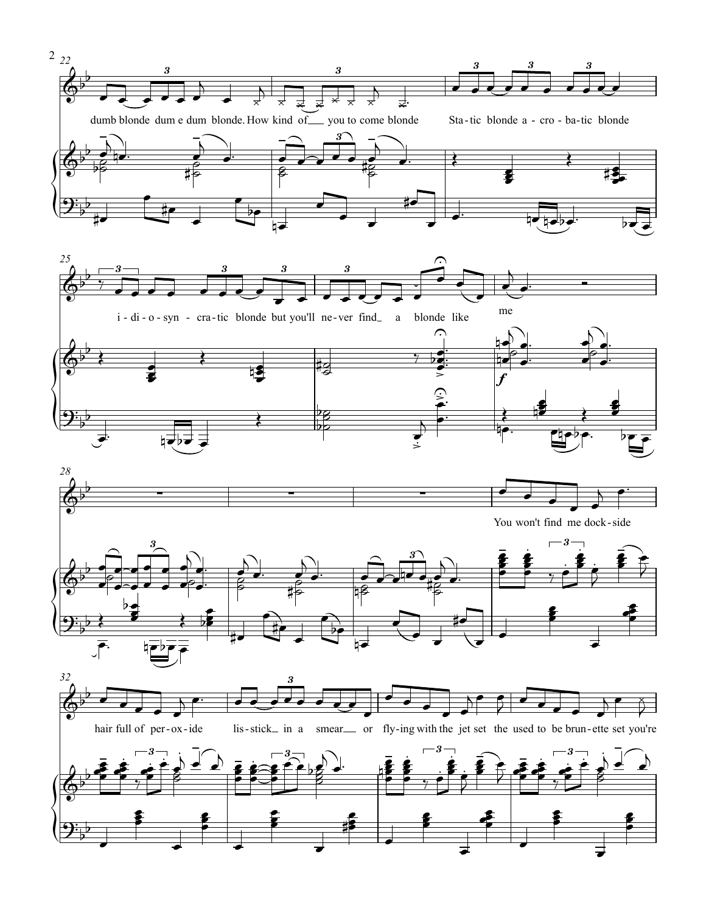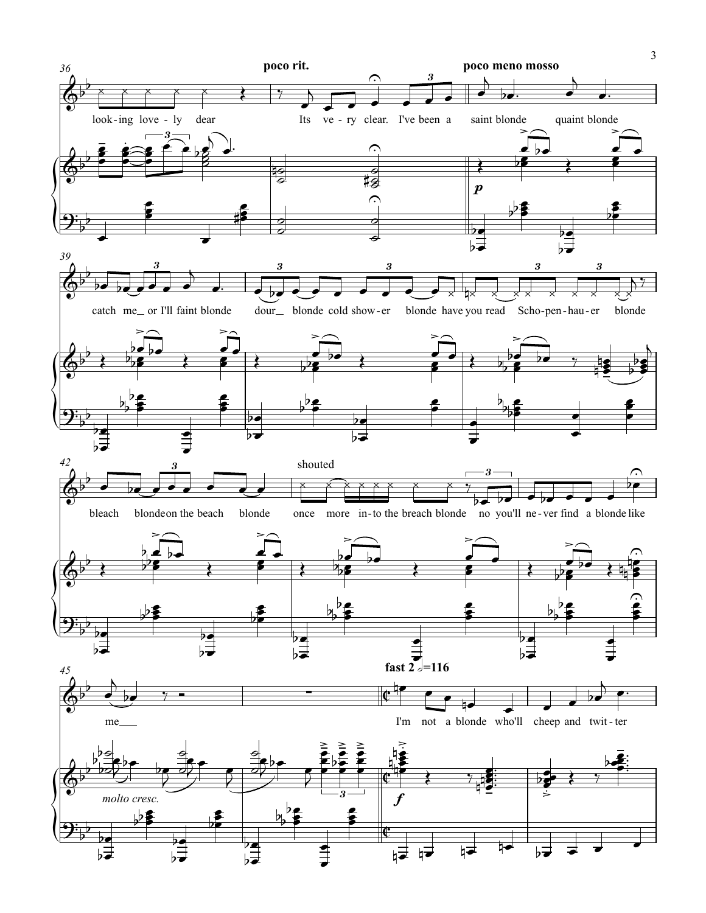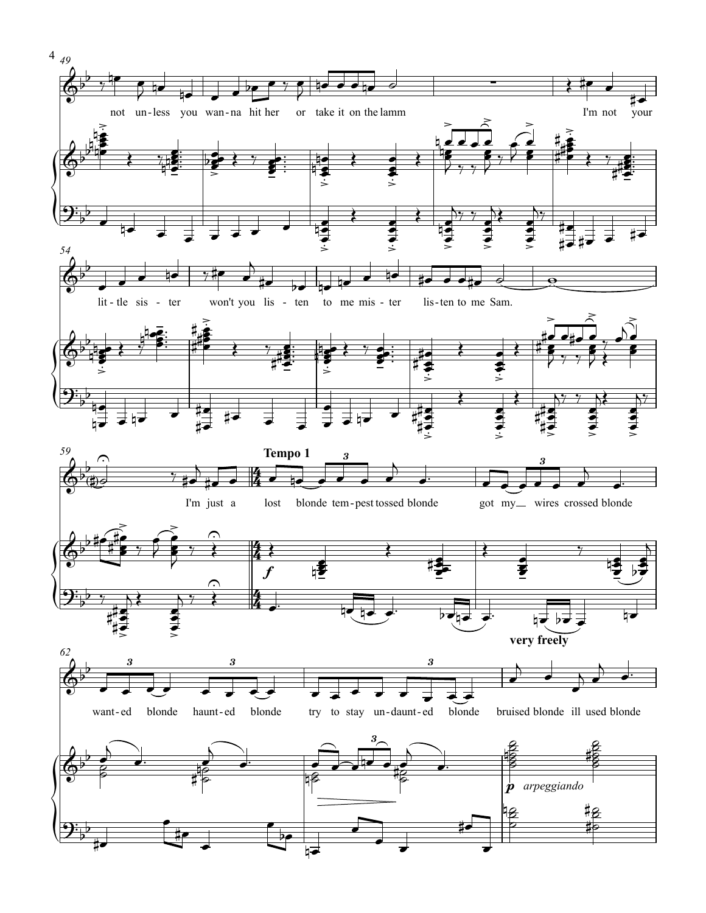